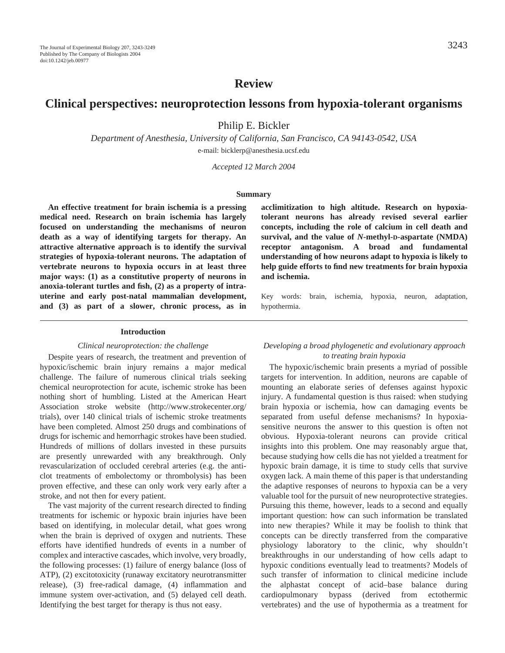# **Review**

# **Clinical perspectives: neuroprotection lessons from hypoxia-tolerant organisms**

Philip E. Bickler

*Department of Anesthesia, University of California, San Francisco, CA 94143-0542, USA* e-mail: bicklerp@anesthesia.ucsf.edu

*Accepted 12 March 2004*

#### **Summary**

**An effective treatment for brain ischemia is a pressing medical need. Research on brain ischemia has largely focused on understanding the mechanisms of neuron death as a way of identifying targets for therapy. An attractive alternative approach is to identify the survival strategies of hypoxia-tolerant neurons. The adaptation of vertebrate neurons to hypoxia occurs in at least three major ways: (1) as a constitutive property of neurons in anoxia-tolerant turtles and fish, (2) as a property of intrauterine and early post-natal mammalian development, and (3) as part of a slower, chronic process, as in**

#### **Introduction**

#### *Clinical neuroprotection: the challenge*

Despite years of research, the treatment and prevention of hypoxic/ischemic brain injury remains a major medical challenge. The failure of numerous clinical trials seeking chemical neuroprotection for acute, ischemic stroke has been nothing short of humbling. Listed at the American Heart Association stroke website (http://www.strokecenter.org/ trials), over 140 clinical trials of ischemic stroke treatments have been completed. Almost 250 drugs and combinations of drugs for ischemic and hemorrhagic strokes have been studied. Hundreds of millions of dollars invested in these pursuits are presently unrewarded with any breakthrough. Only revascularization of occluded cerebral arteries (e.g. the anticlot treatments of embolectomy or thrombolysis) has been proven effective, and these can only work very early after a stroke, and not then for every patient.

The vast majority of the current research directed to finding treatments for ischemic or hypoxic brain injuries have been based on identifying, in molecular detail, what goes wrong when the brain is deprived of oxygen and nutrients. These efforts have identified hundreds of events in a number of complex and interactive cascades, which involve, very broadly, the following processes: (1) failure of energy balance (loss of ATP), (2) excitotoxicity (runaway excitatory neurotransmitter release), (3) free-radical damage, (4) inflammation and immune system over-activation, and (5) delayed cell death. Identifying the best target for therapy is thus not easy.

**acclimitization to high altitude. Research on hypoxiatolerant neurons has already revised several earlier concepts, including the role of calcium in cell death and survival, and the value of** *N***-methyl-D-aspartate (NMDA) receptor antagonism. A broad and fundamental understanding of how neurons adapt to hypoxia is likely to help guide efforts to find new treatments for brain hypoxia and ischemia.**

Key words: brain, ischemia, hypoxia, neuron, adaptation, hypothermia.

# *Developing a broad phylogenetic and evolutionary approach to treating brain hypoxia*

The hypoxic/ischemic brain presents a myriad of possible targets for intervention. In addition, neurons are capable of mounting an elaborate series of defenses against hypoxic injury. A fundamental question is thus raised: when studying brain hypoxia or ischemia, how can damaging events be separated from useful defense mechanisms? In hypoxiasensitive neurons the answer to this question is often not obvious. Hypoxia-tolerant neurons can provide critical insights into this problem. One may reasonably argue that, because studying how cells die has not yielded a treatment for hypoxic brain damage, it is time to study cells that survive oxygen lack. A main theme of this paper is that understanding the adaptive responses of neurons to hypoxia can be a very valuable tool for the pursuit of new neuroprotective strategies. Pursuing this theme, however, leads to a second and equally important question: how can such information be translated into new therapies? While it may be foolish to think that concepts can be directly transferred from the comparative physiology laboratory to the clinic, why shouldn't breakthroughs in our understanding of how cells adapt to hypoxic conditions eventually lead to treatments? Models of such transfer of information to clinical medicine include the alphastat concept of acid–base balance during cardiopulmonary bypass (derived from ectothermic vertebrates) and the use of hypothermia as a treatment for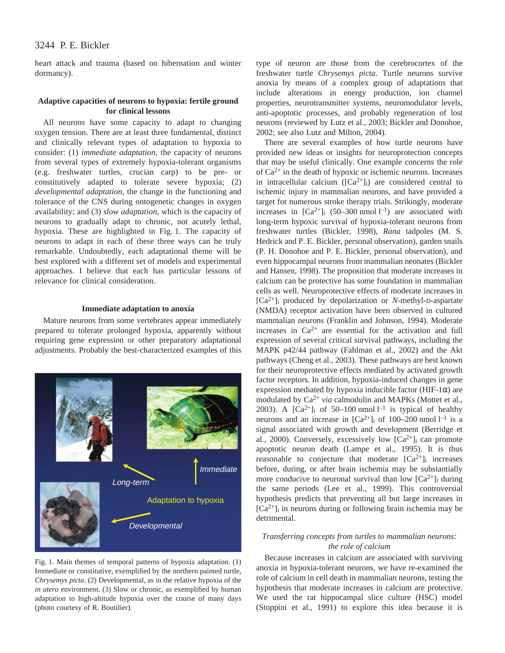heart attack and trauma (based on hibernation and winter dormancy).

## **Adaptive capacities of neurons to hypoxia: fertile ground for clinical lessons**

All neurons have some capacity to adapt to changing oxygen tension. There are at least three fundamental, distinct and clinically relevant types of adaptation to hypoxia to consider: (1) *immediate adaptation*, the capacity of neurons from several types of extremely hypoxia-tolerant organisms (e.g. freshwater turtles, crucian carp) to be pre- or constitutively adapted to tolerate severe hypoxia; (2) *developmental adaptation,* the change in the functioning and tolerance of the CNS during ontogenetic changes in oxygen availability; and (3) *slow adaptation*, which is the capacity of neurons to gradually adapt to chronic, not acutely lethal, hypoxia. These are highlighted in Fig. 1. The capacity of neurons to adapt in each of these three ways can be truly remarkable. Undoubtedly, each adaptational theme will be best explored with a different set of models and experimental approaches. I believe that each has particular lessons of relevance for clinical consideration.

### **Immediate adaptation to anoxia**

Mature neurons from some vertebrates appear immediately prepared to tolerate prolonged hypoxia, apparently without requiring gene expression or other preparatory adaptational adjustments. Probably the best-characterized examples of this



Fig. 1. Main themes of temporal patterns of hypoxia adaptation. (1) Immediate or constitutive, exemplified by the northern painted turtle, *Chrysemys picta*. (2) Developmental, as in the relative hypoxia of the *in utero* environment. (3) Slow or chronic, as exemplified by human adaptation to high-altitude hypoxia over the course of many days (photo courtesy of R. Boutilier).

type of neuron are those from the cerebrocortex of the freshwater turtle *Chrysemys picta*. Turtle neurons survive anoxia by means of a complex group of adaptations that include alterations in energy production, ion channel properties, neurotransmitter systems, neuromodulator levels, anti-apoptotic processes, and probably regeneration of lost neurons (reviewed by Lutz et al., 2003; Bickler and Donohoe, 2002; see also Lutz and Milton, 2004).

There are several examples of how turtle neurons have provided new ideas or insights for neuroprotection concepts that may be useful clinically. One example concerns the role of  $Ca^{2+}$  in the death of hypoxic or ischemic neurons. Increases in intracellular calcium  $([Ca<sup>2+</sup>]$ <sub>i</sub>) are considered central to ischemic injury in mammalian neurons, and have provided a target for numerous stroke therapy trials. Strikingly, moderate increases in  $[Ca^{2+}]_i$  (50–300 nmol  $l^{-1}$ ) are associated with long-term hypoxic survival of hypoxia-tolerant neurons from freshwater turtles (Bickler, 1998), *Rana* tadpoles (M. S. Hedrick and P. E. Bickler, personal observation), garden snails (P. H. Donohoe and P. E. Bickler, personal observation), and even hippocampal neurons from mammalian neonates (Bickler and Hansen, 1998). The proposition that moderate increases in calcium can be protective has some foundation in mammalian cells as well. Neuroprotective effects of moderate increases in  $[Ca^{2+}]$ <sub>i</sub> produced by depolarization or *N*-methyl-D-aspartate (NMDA) receptor activation have been observed in cultured mammalian neurons (Franklin and Johnson, 1994). Moderate increases in  $Ca^{2+}$  are essential for the activation and full expression of several critical survival pathways, including the MAPK p42/44 pathway (Fahlman et al., 2002) and the Akt pathways (Cheng et al., 2003). These pathways are best known for their neuroprotective effects mediated by activated growth factor receptors. In addition, hypoxia-induced changes in gene expression mediated by hypoxia inducible factor (HIF-1 $\alpha$ ) are modulated by Ca<sup>2+</sup> *via* calmodulin and MAPKs (Mottet et al., 2003). A  $[Ca^{2+}]_i$  of 50–100 nmol  $l^{-1}$  is typical of healthy neurons and an increase in  $[Ca^{2+}]_i$  of 100–200 nmol  $l^{-1}$  is a signal associated with growth and development (Berridge et al., 2000). Conversely, excessively low  $[Ca^{2+}]_i$  can promote apoptotic neuron death (Lampe et al., 1995). It is thus reasonable to conjecture that moderate  $[Ca^{2+}]$  increases before, during, or after brain ischemia may be substantially more conducive to neuronal survival than low  $[Ca^{2+}]$ <sub>i</sub> during the same periods (Lee et al., 1999). This controversial hypothesis predicts that preventing all but large increases in  $[Ca^{2+}]$ <sub>i</sub> in neurons during or following brain ischemia may be detrimental.

# *Transferring concepts from turtles to mammalian neurons: the role of calcium*

Because increases in calcium are associated with surviving anoxia in hypoxia-tolerant neurons, we have re-examined the role of calcium in cell death in mammalian neurons, testing the hypothesis that moderate increases in calcium are protective. We used the rat hippocampal slice culture (HSC) model (Stoppini et al., 1991) to explore this idea because it is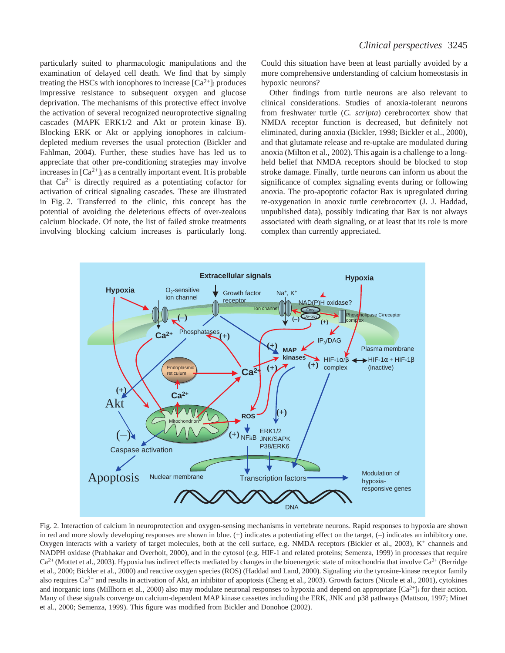particularly suited to pharmacologic manipulations and the examination of delayed cell death. We find that by simply treating the HSCs with ionophores to increase  $[Ca^{2+}]$ <sub>i</sub> produces impressive resistance to subsequent oxygen and glucose deprivation. The mechanisms of this protective effect involve the activation of several recognized neuroprotective signaling cascades (MAPK ERK1/2 and Akt or protein kinase B). Blocking ERK or Akt or applying ionophores in calciumdepleted medium reverses the usual protection (Bickler and Fahlman, 2004). Further, these studies have has led us to appreciate that other pre-conditioning strategies may involve increases in  $[Ca^{2+}]$  as a centrally important event. It is probable that  $Ca^{2+}$  is directly required as a potentiating cofactor for activation of critical signaling cascades. These are illustrated in Fig. 2. Transferred to the clinic, this concept has the potential of avoiding the deleterious effects of over-zealous calcium blockade. Of note, the list of failed stroke treatments involving blocking calcium increases is particularly long.

Could this situation have been at least partially avoided by a more comprehensive understanding of calcium homeostasis in hypoxic neurons?

Other findings from turtle neurons are also relevant to clinical considerations. Studies of anoxia-tolerant neurons from freshwater turtle (*C. scripta*) cerebrocortex show that NMDA receptor function is decreased, but definitely not eliminated, during anoxia (Bickler, 1998; Bickler et al., 2000), and that glutamate release and re-uptake are modulated during anoxia (Milton et al., 2002). This again is a challenge to a longheld belief that NMDA receptors should be blocked to stop stroke damage. Finally, turtle neurons can inform us about the significance of complex signaling events during or following anoxia. The pro-apoptotic cofactor Bax is upregulated during re-oxygenation in anoxic turtle cerebrocortex (J. J. Haddad, unpublished data), possibly indicating that Bax is not always associated with death signaling, or at least that its role is more complex than currently appreciated.



Fig. 2. Interaction of calcium in neuroprotection and oxygen-sensing mechanisms in vertebrate neurons. Rapid responses to hypoxia are shown in red and more slowly developing responses are shown in blue. (+) indicates a potentiating effect on the target, (–) indicates an inhibitory one. Oxygen interacts with a variety of target molecules, both at the cell surface, e.g. NMDA receptors (Bickler et al., 2003), K<sup>+</sup> channels and NADPH oxidase (Prabhakar and Overholt, 2000), and in the cytosol (e.g. HIF-1 and related proteins; Semenza, 1999) in processes that require  $Ca^{2+}$  (Mottet et al., 2003). Hypoxia has indirect effects mediated by changes in the bioenergetic state of mitochondria that involve  $Ca^{2+}$  (Berridge et al., 2000; Bickler et al., 2000) and reactive oxygen species (ROS) (Haddad and Land, 2000). Signaling *via* the tyrosine-kinase receptor family also requires  $Ca^{2+}$  and results in activation of Akt, an inhibitor of apoptosis (Cheng et al., 2003). Growth factors (Nicole et al., 2001), cytokines and inorganic ions (Millhorn et al., 2000) also may modulate neuronal responses to hypoxia and depend on appropriate  $[Ca^{2+}j_i$  for their action. Many of these signals converge on calcium-dependent MAP kinase cassettes including the ERK, JNK and p38 pathways (Mattson, 1997; Minet et al., 2000; Semenza, 1999). This figure was modified from Bickler and Donohoe (2002).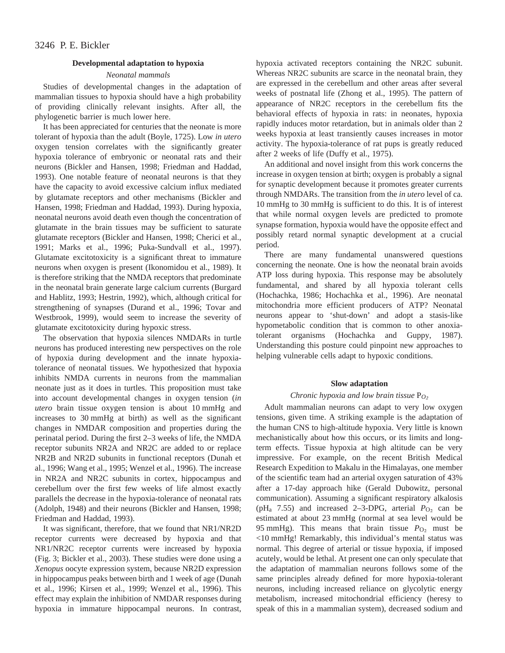## **Developmental adaptation to hypoxia**

### *Neonatal mammals*

Studies of developmental changes in the adaptation of mammalian tissues to hypoxia should have a high probability of providing clinically relevant insights. After all, the phylogenetic barrier is much lower here.

It has been appreciated for centuries that the neonate is more tolerant of hypoxia than the adult (Boyle, 1725). Low *in utero* oxygen tension correlates with the significantly greater hypoxia tolerance of embryonic or neonatal rats and their neurons (Bickler and Hansen, 1998; Friedman and Haddad, 1993). One notable feature of neonatal neurons is that they have the capacity to avoid excessive calcium influx mediated by glutamate receptors and other mechanisms (Bickler and Hansen, 1998; Friedman and Haddad, 1993). During hypoxia, neonatal neurons avoid death even though the concentration of glutamate in the brain tissues may be sufficient to saturate glutamate receptors (Bickler and Hansen, 1998; Cherici et al., 1991; Marks et al., 1996; Puka-Sundvall et al., 1997). Glutamate excitotoxicity is a significant threat to immature neurons when oxygen is present (Ikonomidou et al., 1989). It is therefore striking that the NMDA receptors that predominate in the neonatal brain generate large calcium currents (Burgard and Hablitz, 1993; Hestrin, 1992), which, although critical for strengthening of synapses (Durand et al., 1996; Tovar and Westbrook, 1999), would seem to increase the severity of glutamate excitotoxicity during hypoxic stress.

The observation that hypoxia silences NMDARs in turtle neurons has produced interesting new perspectives on the role of hypoxia during development and the innate hypoxiatolerance of neonatal tissues. We hypothesized that hypoxia inhibits NMDA currents in neurons from the mammalian neonate just as it does in turtles. This proposition must take into account developmental changes in oxygen tension (*in utero* brain tissue oxygen tension is about 10 mmHg and increases to 30 mmHg at birth) as well as the significant changes in NMDAR composition and properties during the perinatal period. During the first 2–3 weeks of life, the NMDA receptor subunits NR2A and NR2C are added to or replace NR2B and NR2D subunits in functional receptors (Dunah et al., 1996; Wang et al., 1995; Wenzel et al., 1996). The increase in NR2A and NR2C subunits in cortex, hippocampus and cerebellum over the first few weeks of life almost exactly parallels the decrease in the hypoxia-tolerance of neonatal rats (Adolph, 1948) and their neurons (Bickler and Hansen, 1998; Friedman and Haddad, 1993).

It was significant, therefore, that we found that NR1/NR2D receptor currents were decreased by hypoxia and that NR1/NR2C receptor currents were increased by hypoxia (Fig. 3; Bickler et al., 2003). These studies were done using a *Xenopus* oocyte expression system, because NR2D expression in hippocampus peaks between birth and 1 week of age (Dunah et al., 1996; Kirsen et al., 1999; Wenzel et al., 1996). This effect may explain the inhibition of NMDAR responses during hypoxia in immature hippocampal neurons. In contrast,

hypoxia activated receptors containing the NR2C subunit. Whereas NR2C subunits are scarce in the neonatal brain, they are expressed in the cerebellum and other areas after several weeks of postnatal life (Zhong et al., 1995). The pattern of appearance of NR2C receptors in the cerebellum fits the behavioral effects of hypoxia in rats: in neonates, hypoxia rapidly induces motor retardation, but in animals older than 2 weeks hypoxia at least transiently causes increases in motor activity. The hypoxia-tolerance of rat pups is greatly reduced after 2 weeks of life (Duffy et al., 1975).

An additional and novel insight from this work concerns the increase in oxygen tension at birth; oxygen is probably a signal for synaptic development because it promotes greater currents through NMDARs. The transition from the *in utero* level of ca. 10 mmHg to 30 mmHg is sufficient to do this. It is of interest that while normal oxygen levels are predicted to promote synapse formation, hypoxia would have the opposite effect and possibly retard normal synaptic development at a crucial period.

There are many fundamental unanswered questions concerning the neonate. One is how the neonatal brain avoids ATP loss during hypoxia. This response may be absolutely fundamental, and shared by all hypoxia tolerant cells (Hochachka, 1986; Hochachka et al., 1996). Are neonatal mitochondria more efficient producers of ATP? Neonatal neurons appear to 'shut-down' and adopt a stasis-like hypometabolic condition that is common to other anoxiatolerant organisms (Hochachka and Guppy, 1987). Understanding this posture could pinpoint new approaches to helping vulnerable cells adapt to hypoxic conditions.

## **Slow adaptation**

## *Chronic hypoxia and low brain tissue* P*O*<sup>∑</sup>

Adult mammalian neurons can adapt to very low oxygen tensions, given time. A striking example is the adaptation of the human CNS to high-altitude hypoxia. Very little is known mechanistically about how this occurs, or its limits and longterm effects. Tissue hypoxia at high altitude can be very impressive. For example, on the recent British Medical Research Expedition to Makalu in the Himalayas, one member of the scientific team had an arterial oxygen saturation of 43% after a 17-day approach hike (Gerald Dubowitz, personal communication). Assuming a significant respiratory alkalosis (pH<sub>a</sub> 7.55) and increased 2–3-DPG, arterial  $P_{\text{O}_2}$  can be estimated at about 23 mmHg (normal at sea level would be 95 mmHg). This means that brain tissue  $P_{\text{O}_2}$  must be <10 mmHg! Remarkably, this individual's mental status was normal. This degree of arterial or tissue hypoxia, if imposed acutely, would be lethal. At present one can only speculate that the adaptation of mammalian neurons follows some of the same principles already defined for more hypoxia-tolerant neurons, including increased reliance on glycolytic energy metabolism, increased mitochondrial efficiency (heresy to speak of this in a mammalian system), decreased sodium and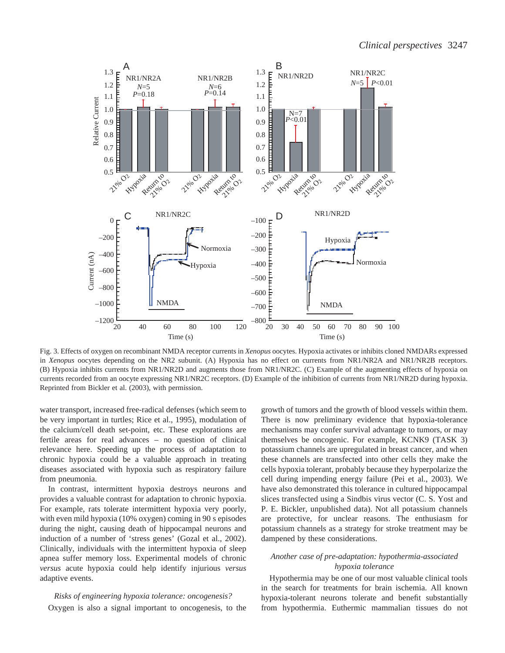

Fig. 3. Effects of oxygen on recombinant NMDA receptor currents in *Xenopus* oocytes. Hypoxia activates or inhibits cloned NMDARs expressed in *Xenopus* oocytes depending on the NR2 subunit. (A) Hypoxia has no effect on currents from NR1/NR2A and NR1/NR2B receptors. (B) Hypoxia inhibits currents from NR1/NR2D and augments those from NR1/NR2C. (C) Example of the augmenting effects of hypoxia on currents recorded from an oocyte expressing NR1/NR2C receptors. (D) Example of the inhibition of currents from NR1/NR2D during hypoxia. Reprinted from Bickler et al. (2003), with permission.

water transport, increased free-radical defenses (which seem to be very important in turtles; Rice et al., 1995), modulation of the calcium/cell death set-point, etc. These explorations are fertile areas for real advances – no question of clinical relevance here. Speeding up the process of adaptation to chronic hypoxia could be a valuable approach in treating diseases associated with hypoxia such as respiratory failure from pneumonia.

In contrast, intermittent hypoxia destroys neurons and provides a valuable contrast for adaptation to chronic hypoxia. For example, rats tolerate intermittent hypoxia very poorly, with even mild hypoxia (10% oxygen) coming in 90 s episodes during the night, causing death of hippocampal neurons and induction of a number of 'stress genes' (Gozal et al., 2002). Clinically, individuals with the intermittent hypoxia of sleep apnea suffer memory loss. Experimental models of chronic *versus* acute hypoxia could help identify injurious *versus* adaptive events.

*Risks of engineering hypoxia tolerance: oncogenesis?* Oxygen is also a signal important to oncogenesis, to the growth of tumors and the growth of blood vessels within them. There is now preliminary evidence that hypoxia-tolerance mechanisms may confer survival advantage to tumors, or may themselves be oncogenic. For example, KCNK9 (TASK 3) potassium channels are upregulated in breast cancer, and when these channels are transfected into other cells they make the cells hypoxia tolerant, probably because they hyperpolarize the cell during impending energy failure (Pei et al., 2003). We have also demonstrated this tolerance in cultured hippocampal slices transfected using a Sindbis virus vector (C. S. Yost and P. E. Bickler, unpublished data). Not all potassium channels are protective, for unclear reasons. The enthusiasm for potassium channels as a strategy for stroke treatment may be dampened by these considerations.

# *Another case of pre-adaptation: hypothermia-associated hypoxia tolerance*

Hypothermia may be one of our most valuable clinical tools in the search for treatments for brain ischemia. All known hypoxia-tolerant neurons tolerate and benefit substantially from hypothermia. Euthermic mammalian tissues do not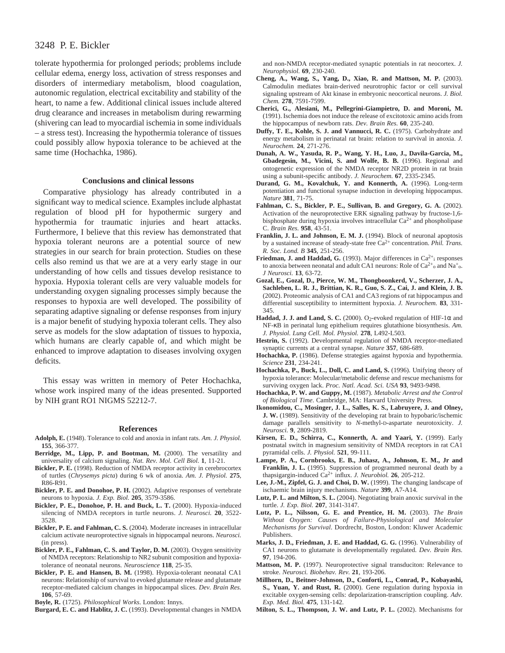# 3248 P. E. Bickler

tolerate hypothermia for prolonged periods; problems include cellular edema, energy loss, activation of stress responses and disorders of intermediary metabolism, blood coagulation, autonomic regulation, electrical excitability and stability of the heart, to name a few. Additional clinical issues include altered drug clearance and increases in metabolism during rewarming (shivering can lead to myocardial ischemia in some individuals – a stress test). Increasing the hypothermia tolerance of tissues could possibly allow hypoxia tolerance to be achieved at the same time (Hochachka, 1986).

## **Conclusions and clinical lessons**

Comparative physiology has already contributed in a significant way to medical science. Examples include alphastat regulation of blood pH for hypothermic surgery and hypothermia for traumatic injuries and heart attacks. Furthermore, I believe that this review has demonstrated that hypoxia tolerant neurons are a potential source of new strategies in our search for brain protection. Studies on these cells also remind us that we are at a very early stage in our understanding of how cells and tissues develop resistance to hypoxia. Hypoxia tolerant cells are very valuable models for understanding oxygen signaling processes simply because the responses to hypoxia are well developed. The possibility of separating adaptive signaling or defense responses from injury is a major benefit of studying hypoxia tolerant cells. They also serve as models for the slow adaptation of tissues to hypoxia, which humans are clearly capable of, and which might be enhanced to improve adaptation to diseases involving oxygen deficits.

This essay was written in memory of Peter Hochachka, whose work inspired many of the ideas presented. Supported by NIH grant RO1 NIGMS 52212-7.

#### **References**

- **Adolph, E.** (1948). Tolerance to cold and anoxia in infant rats. *Am. J. Physiol.* **155**, 366-377.
- Berridge, M., Lipp, P. and Bootman, M. (2000). The versatility and universality of calcium signaling. *Nat. Rev. Mol. Cell Biol.* **1**, 11-21.
- **Bickler, P. E.** (1998). Reduction of NMDA receptor activity in cerebrocortex of turtles (*Chrysemys picta*) during 6 wk of anoxia. *Am. J. Physiol.* **275**, R86-R91.
- **Bickler, P. E. and Donohoe, P. H.** (2002). Adaptive responses of vertebrate neurons to hypoxia. *J. Exp. Biol.* **205**, 3579-3586.
- Bickler, P. E., Donohoe, P. H. and Buck, L. T. (2000). Hypoxia-induced silencing of NMDA receptors in turtle neurons. *J. Neurosci.* **20**, 3522- 3528.
- **Bickler, P. E. and Fahlman, C. S.** (2004). Moderate increases in intracellular calcium activate neuroprotective signals in hippocampal neurons. *Neurosci.* (in press).
- **Bickler, P. E., Fahlman, C. S. and Taylor, D. M.** (2003). Oxygen sensitivity of NMDA receptors: Relationship to NR2 subunit composition and hypoxiatolerance of neonatal neurons. *Neuroscience* **118**, 25-35.
- **Bickler, P. E. and Hansen, B. M.** (1998). Hypoxia-tolerant neonatal CA1 neurons: Relationship of survival to evoked glutamate release and glutamate receptor-mediated calcium changes in hippocampal slices. *Dev. Brain Res.* **106**, 57-69.

**Boyle, R.** (1725). *Philosophical Works*. London: Innys.

**Burgard, E. C. and Hablitz, J. C.** (1993). Developmental changes in NMDA

and non-NMDA receptor-mediated synaptic potentials in rat neocortex. *J. Neurophysiol.* **69**, 230-240.

- **Cheng, A., Wang, S., Yang, D., Xiao, R. and Mattson, M. P.** (2003). Calmodulin mediates brain-derived neurotrophic factor or cell survival signaling upstream of Akt kinase in embryonic neocortical neurons. *J. Biol. Chem.* **278**, 7591-7599.
- **Cherici, G., Alesiani, M., Pellegrini-Giampietro, D. and Moroni, M.** (1991). Ischemia does not induce the release of excitotoxic amino acids from the hippocampus of newborn rats. *Dev. Brain Res.* **60**, 235-240.
- **Duffy, T. E., Kohle, S. J. and Vannucci, R. C.** (1975). Carbohydrate and energy metabolism in perinatal rat brain: relation to survival in anoxia. *J. Neurochem.* **24**, 271-276.
- **Dunah, A. W., Yasuda, R. P., Wang, Y. H., Luo, J., Davila-Garcia, M., Gbadegesin, M., Vicini, S. and Wolfe, B. B.** (1996). Regional and ontogenetic expression of the NMDA receptor NR2D protein in rat brain using a subunit-specific antibody. *J. Neurochem.* **67**, 2335-2345.
- **Durand, G. M., Kovalchuk, Y. and Konnerth, A.** (1996). Long-term potentiation and functional synapse induction in developing hippocampus. *Nature* **381**, 71-75.
- Fahlman, C. S., Bickler, P. E., Sullivan, B. and Gregory, G. A. (2002). Activation of the neuroprotective ERK signaling pathway by fructose-1,6 bisphosphate during hypoxia involves intracellular Ca<sup>2+</sup> and phospholipase C. *Brain Res.* **958**, 43-51.
- Franklin, J. L. and Johnson, E. M. J. (1994). Block of neuronal apoptosis by a sustained increase of steady-state free Ca2+ concentration. *Phil. Trans. R. Soc. Lond. B* **345**, 251-256.
- Friedman, J. and Haddad, G. (1993). Major differences in Ca<sup>2+</sup><sub>i</sub> responses to anoxia between neonatal and adult CA1 neurons: Role of  $Ca^{2+}$ <sub>0</sub> and Na<sup>+</sup><sub>0</sub>. *J Neurosci.* **13**, 63-72.
- **Gozal, E., Gozal, D., Pierce, W. M., Thongboonkerd, V., Scherzer, J. A., Sachleben, L. R. J., Brittian, K. R., Guo, S. Z., Cai, J. and Klein, J. B.** (2002). Proteomic analysis of CA1 and CA3 regions of rat hippocampus and differential susceptibility to intermittent hypoxia. *J. Neurochem.* **83**, 331- 345.
- **Haddad, J. J. and Land, S. C.**  $(2000)$ . O<sub>2</sub>-evoked regulation of HIF-1 $\alpha$  and NF-κB in perinatal lung epithelium requires glutathione biosynthesis. *Am. J. Physiol. Lung Cell. Mol. Physiol.* **278**, L492-L503.
- **Hestrin, S.** (1992). Developmental regulation of NMDA receptor-mediated synaptic currents at a central synapse. *Nature* **357**, 686-689.
- **Hochachka, P.** (1986). Defense strategies against hypoxia and hypothermia. *Science* **231***,* 234-241.
- Hochachka, P., Buck, L., Doll, C. and Land, S. (1996). Unifying theory of hypoxia tolerance: Molecular/metabolic defense and rescue mechanisms for surviving oxygen lack. *Proc. Natl. Acad. Sci. USA* **93**, 9493-9498.
- **Hochachka, P. W. and Guppy, M.** (1987). *Metabolic Arrest and the Control of Biological Time*. Cambridge, MA: Harvard University Press.
- **Ikonomidou, C., Mosinger, J. L., Salles, K. S., Labruyere, J. and Olney, J. W.** (1989). Sensitivity of the developing rat brain to hypobaric/ischemic damage parallels sensitivity to *N*-methyl-D-aspartate neurotoxicity. *J. Neurosci.* **9**, 2809-2819.
- **Kirsen, E. D., Schirra, C., Konnerth, A. and Yaari, Y.** (1999). Early postnatal switch in magnesium sensitivity of NMDA receptors in rat CA1 pyramidal cells. *J. Physiol.* **521**, 99-111.
- **Lampe, P. A., Cornbrooks, E. B., Juhasz, A., Johnson, E. M., Jr and Franklin, J. L.** (1995). Suppression of programmed neuronal death by a thapsigargin-induced Ca2+ influx. *J. Neurobiol.* **26**, 205-212.
- **Lee, J.-M., Zipfel, G. J. and Choi, D. W.** (1999). The changing landscape of ischaemic brain injury mechanisms. *Nature* **399**, A7-A14.
- **Lutz, P. L. and Milton, S. L.** (2004). Negotiating brain anoxic survival in the turtle. *J. Exp. Biol.* **207**, 3141-3147.
- **Lutz, P. L., Nilsson, G. E. and Prentice, H. M.** (2003). *The Brain Without Oxygen: Causes of Failure-Physiological and Molecular Mechanisms for Survival*. Dordrecht, Boston, London: Kluwer Academic Publishers.
- Marks, J. D., Friedman, J. E. and Haddad, G. G. (1996). Vulnerability of CA1 neurons to glutamate is developmentally regulated. *Dev. Brain Res.* **97**, 194-206.
- **Mattson, M. P.** (1997). Neuroprotective signal transduciton: Relevance to stroke. *Neurosci. Biobehav. Rev.* **21**, 193-206.
- **Millhorn, D., Beitner-Johnson, D., Conforti, L., Conrad, P., Kobayashi, S., Yuan, Y. and Rust, R.** (2000). Gene regulation during hypoxia in excitable oxygen-sensing cells: depolarization-transcription coupling. *Adv. Exp. Med. Biol.* **475**, 131-142.
- Milton, S. L., Thompson, J. W. and Lutz, P. L. (2002). Mechanisms for